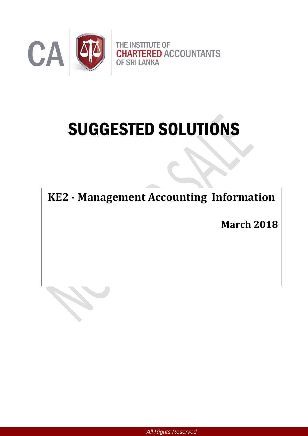

# SUGGESTED SOLUTIONS

**KE2 - Management Accounting Information**

**March 2018**

*All Rights Reserved*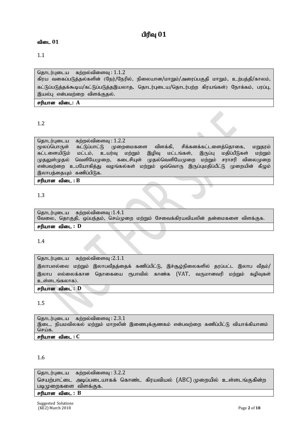# பிரிவு  $01$

# விடை 01

# 1.1

தொடர்புடைய கற்றல்விளைவு $: 1.1.2$ கிரய வகைப்படுத்தல்களின் (நேர்/நேரில், நிலையான/மாறும்/அரைப்பகுதி மாறும், உற்பத்தி/காலம், கட்டுப்படுத்தக்கூடிய/கட்டுப்படுத்தஇயலாத, தொடர்புடைய/தொடர்பற்ற கிரயங்கள்) நோக்கம், பரப்பு, இயல்பு என்பவற்றை விளக்குதல்.

# சரியான விடை: **A**

# 1.2

தொடர்புடைய கற்றல்விளைவு : 1.2.2<br>மூலப்பொருள் கட்டுப்பாட்டு முறைமைகளை விளக்கி, சிக்கனக்கட்டளைத்தொகை, மறுதூம் கட்டளையிடும் மட்டம், உயர்வு மற்றும் இழிவு மட்டங்கள், இருப்பு மதிப்பீடுகள் மற்றும் முதலுள்முதல் வெளியேமுறை, கடைசியுள் முதல்வெளியேமுறை மற்றும் சராசரி விலைமுறை என்பவற்றை உபயோகித்து வழங்கல்கள் மற்றும் ஒவ்வொரு இருப்புமதிப்பீட்டு முறையின் கீழும் இலாபத்தையும் கணிப்பிடுக.  $F$ ரியான விடை :  $B$ 

# 1.3

தொடர்புடைய கற்றல்விளைவு $:1.4.1$ வேலை, தொகுதி, ஒப்பந்தம், செய்முறை மற்றும் சேவைக்கிரயவியலின் தன்மைகளை விளக்குக.

சரியான விடை : **D** 

# 1.4

தொடர்புடைய கற்றல்விளைவு $:2.1.1$ இலாபஎல்லை மற்றும் இலாபவீதத்தைக் கணிப்பிட்டு, இச்சூழ்நிலைகளில் தரப்பட்ட இலாப வீதம்/ இலாப எல்லைக்கான தொகையை ரூபாவில் காண்க (VAT, வருமானவரி மற்றும் கழிவுகள் உள்ளடங்கலாக). சரியான விடை : **D** 

#### 1.5

தொடர்புடைய கற்றல்விளைவு:  $2.3.1$ இடை, நியமவிலகல் மற்றும் மாறலின் இணைபுக்குணகம் என்பவற்றை கணிப்பிட்டு வியாக்கியானம் செய்க. சரியான விடை : C

# 1.6

தொடர்புடைய கற்றல்விளைவு:  $3.2.2$ செயற்பாட்டை அடிப்படையாகக் கொண்ட கிரயவியல் (ABC) முறையில் உள்ளடங்குகின்ற படிமுறைகளை விளக்குக.

# சரியான விடை : B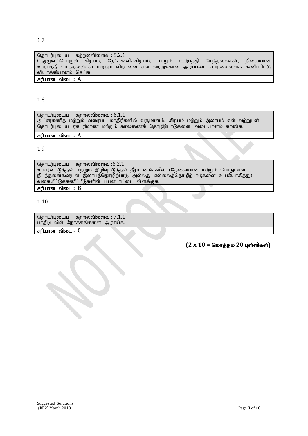சரியான விடை : C

.<br>வகையீட்டுக்கணிப்பீடுகளின் பயன்பாட்டை விளக்குக.

# $(2 \times 10 =$  மொத்தம் 20 புள்ளிகள்)

# 1.9

சரியான விடை : **B** 

தொடர்புடைய கற்றல்விளைவு $:6.2.1$ 

தொடர்புடைய கற்றல்விளைவு:  $7.1.1$ பாதீடிடலின் நோக்கங்களை ஆராய்க.

# சரியான விடை : A

தொடர்புடைய கற்றல்விளைவு $: 6.1.1$ அட்சரகணித மற்றும் வரைபட மாதிரிகளில் வருமானம், கிரயம் மற்றும் இலாபம் என்பவற்றுடன் தொடர்புடைய ஏகபரிமாண மற்றும் காலணைத் தொழிற்பாடுகளை அடையாளம் காண்க.

உயர்வுபடுத்தல் மற்றும் இழிவுபடுத்தல் தீர்மானங்களில் (தேவையான மற்றும் போதுமான நிபந்தனைகளுடன் இலாபத்தொழிற்பாடு அல்லது எல்லைத்தொழிற்பாடுகளை உபயோகித்து)

1.8

1.10

# சரியான விடை : A

தொடர்புடைய கற்றல்விளைவு $: 5.2.1$ நேர்மூலப்பொருள் கிரயம், நேர்க்கூலிக்கிரயம், மாறும் உற்பத்தி மேந்தலைகள், நிலையான உற்பத்தி மேந்தலைகள் மற்றும் விற்பனை என்பவற்றுக்கான அடிப்படை முரண்களைக் கணிப்பிட்டு வியாக்கியானம் செய்க.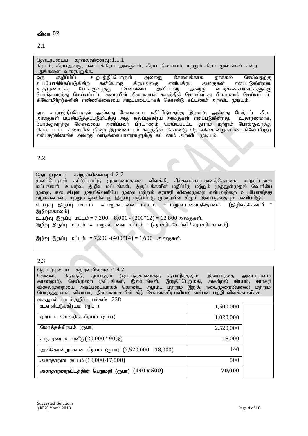# வினா 02

# 2.1

#### தொடர்புடைய கற்றல்விளைவு $:1.1.1$ கிரயம், கிரயஅலகு, கலப்புக்கிரய அலகுகள், கிரய நிலையம், மற்றும் கிரய மூலங்கள் என்ற <u>பதங்களை வரையறுக்க.</u><br>ஒரு குறிப்பிட்ட உ xU Fwpg;gpl;l cw;gj;jpg;nghUs; my;yJ Nritf;fhf jhf;fy; nra;tjw;F உபயோகிக்கப்படுகின்ற தனியொரு கிரயஅலகு எளியகிரய அ<br>உதாரணமாக, போக்குவரத்து சேவையை அளிப்பவர் அவரது ்வாடிக்கையாளர்களுக்கு போக்குவரத்து செய்யப்பட்ட சுமையின் நிறையைக் கருத்தில் கொள்ளாது பிரயாணம் செய்யப்பட்ட கிலோமீற்றர்களின் எண்ணிக்கையை அடிப்படையாகக் கொண்டு கட்டணம் அறவிட முடியும்.

ஒரு உற்பத்திப்பொருள் அல்லது சேவையை மதிப்பிடுவதற்கு இரண்டு அல்லது மேற்பட்ட கிரய அலகுகள் பயன்படுத்தப்படுமிடத்து அது கலப்புக்கிரய அலகுகள் எனப்படுகின்றது. உதாரணமாக, போக்குவரத்து சேவையை அளிப்பவர் பிரயாணம் செய்யப்பட்ட துாரம் மற்றும் போக்குவரத்து செய்யப்பட்ட சுமையின் நிறை இரண்டையும் கருத்தில் கொண்டு தொன்னொன்றுக்கான கிலோமீற்றர் என்பதற்கிணங்க அவரது வாடிக்கையாளர்களுக்கு கட்டணம் அறவிட முடியும்.

# 2.2

| தொடர்புடைய கற்றல்விளைவு :1.2.2                                                           |
|------------------------------------------------------------------------------------------|
| மூலப்பொருள் கட்டுப்பாட்டு முறைமைகளை விளக்கி, சிக்கனக்கட்டளைத்தொகை, மறுகட்டளை             |
| மட்டங்கள், உயர்வு, இழிவு மட்டங்கள், இருப்புக்களின் மதிப்பீடு மற்றும் முதலுள்முதல் வெளியே |
| முறை, கடைசியுள் முதல்வெளியே முறை மற்றும் சராசரி விலைமுறை என்பவற்றை உபயோகித்து            |
| வழங்கல்கள், மற்றும் ஒவ்வொரு இருப்பு மதிப்பீட்டு முறையின் கீழும் இலாபத்தையும் கணிப்பிடுக. |
| உயர்வு இருப்பு மட்டம்  = மறுகட்டளை மட்டம்  + மறுகட்டளைத்தொகை - (இழிவுக்கேள்வி *          |
| இழிவுக்காலம்)                                                                            |
| உயர்வு இருப்பு மட்டம் = 7,200 + 8,000 - $(200*12)$ = 12,800 அலகுகள்.                     |
| இழிவு இருப்பு மட்டம் = மறுகட்டளை மட்டம் - (சராசரிக்கேள்வி * சராசரிக்காலம்)               |
|                                                                                          |

இழிவு இருப்பு மட்டம் = 7,200 -(400\*14) = 1,600 அலகுகள்.

|  | I<br>۰. |
|--|---------|

| தொடர்புடைய கற்றல்விளைவு :1.4.2                                                   |           |
|----------------------------------------------------------------------------------|-----------|
| வேலை, தொகுதி, ஒப்பந்தம் (ஒப்பந்தக்கணக்கு தயாரித்தலும், இலாபத்தை அடையாளம்         |           |
| காணலும்), செய்முறை (நட்டங்கள், இலாபங்கள், இறுதிப்பெறுமதி, அகற்றல் கிரயம், சராசரி |           |
| விலைமுறையை அடிப்படையாகக் கொண்ட ஆரம்ப மற்றும் இறுதி நடைமுறைவேலை) மற்றும்          |           |
| பொருத்தமான வியாபார நிலைமைகளின் கீழ் சேவைக்கிரயவியல் என்பன பற்றி விளக்கமளிக்க.    |           |
| கைநூல் பாடக்குறிப்பு பக்கம்: 238                                                 |           |
| உள்ளீட்டுக்கிரயம் (ரூபா)                                                         | 1,500,000 |
|                                                                                  |           |
| ஏற்பட்ட மேலதிக கிரயம் (ரூபா)                                                     | 1,020,000 |
|                                                                                  |           |
| மொத்தக்கிரயம் (ரூபா)                                                             | 2,520,000 |
|                                                                                  |           |
| சாதாரண உள்ளீடு (20,000 * 90%)                                                    | 18,000    |
| அலகொன்றுக்கான கிரயம் (ரூபா) $(2,520,000 \div 18,000)$                            | 140       |
|                                                                                  |           |
| அசாதாரண நட்டம் (18,000-17,500)                                                   | 500       |
|                                                                                  |           |
| அசாதாரணநட்டத்தின் பெறுமதி (ரூபா) $(140 \times 500)$                              | 70,000    |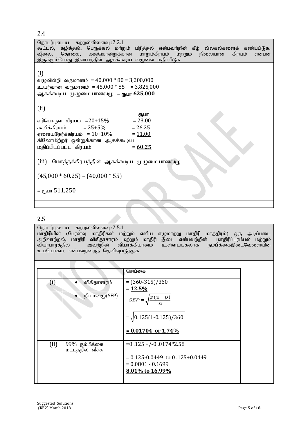2.4

தொடர்புடைய கற்றல்விளைவு $:2.2.1$ கூட்டல், கழித்தல், பெருக்கல் மற்றும் பிரித்தல் என்பவற்றின் கீழ் விலகல்களைக் கணிப்பிடுக.<br>விலை, தொகை, அலகொன்றுக்கான மாறும்கிரயம் மற்றும் நிலையான கிரயம் என்பன தொகை, அலகொன்றுக்கான இருக்கும்போது இலாபத்தின் ஆகக்கூடிய வழுவை மதிப்பிடுக. (i) வழுவின்றி வருமானம் =  $40,000 * 80 = 3,200,000$ உயர்வான வருமானம் =  $45,000 * 85 = 3,825,000$ ஆகக்கூடிய முழுமையானவமு = **ரூபா 625,000** (ii) **Contract the Contract of Contract of Contract of Contract of Contract of Contract of Contract of Contract of Co**<br>The Contract of Contract of Contract of Contract of Contract of Contract of Contract of Contract of Contract  $\sigma$ எரிபொருள் கிரயம் =20+15% = 23.00 கூலிக்கிரயம் = 25+5% = 26.25<br>எனையநேர்க்கிரயம் = 10+10% = 11.00 எனையநேர்க்கிரயம் =  $10+10\%$ கிலோமீற்றர் ஒன்றுக்கான ஆகக்கூடிய kjpg;gplg;gl;l fpuak; = **60.25**  (iii) மொத்தக்கிரயத்தின் ஆகக்கூடிய முழுமையானவழு  $(45,000 * 60.25) - (40,000 * 55)$  $=$   $e$ гьиг 511,250

2.5

தொடர்புடைய கற்றல்விளைவு $:2.5.1$ 

மாதிரியின் (பேரளவு மாதிரிகள் மற்றும் எளிய எழுமாற்று மாதிரி மாத்திரம்) ஒரு அடிப்படை<br>அறிவாற்றல், மாதிரி விகிதாசாரம் மற்றும் மாதிரி இடை என்பவற்றின் மாதிரிப்பரம்பல் மற்றும் அறிவாற்றல், மாதிரி விகிதாசாரம் மற்றும் மாதிரி இடை என்பவற்றின் மாதிரிப்பரம்பல் மற்றும்<br>வியாபாரத்தில் அவற்றின் வியாக்கியானம் உள்ளடங்கலாக நம்பிக்கைஇடைவேளையின் வியாக்கியானம் உள்ளடங்கலாக உபயோகம், என்பவற்றைத் தெளிவுபடுத்துக.

|                   |                                    | செய்கை                                                                                                      |
|-------------------|------------------------------------|-------------------------------------------------------------------------------------------------------------|
| $\left( i\right)$ | விகிதாசாரம்                        | $=(360-315)/360$<br>$= 12.5%$                                                                               |
|                   | நியமவழு $(SEP)$                    | $SEP = \sqrt{\frac{p(1-p)}{p(1-p)}}$<br>$= \sqrt{0.125(1-0.125)/360}$<br>$= 0.01704$ or 1.74%               |
| (ii)              | 99% நம்பிக்கை<br>மட்டத்தில் வீச்சு | $= 0.125 + (-0.0174)$ *2.58<br>$= 0.125 - 0.0449$ to 0.125+0.0449<br>$= 0.0801 - 0.1699$<br>8.01% to 16.99% |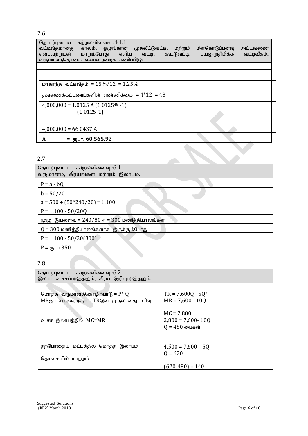2.6

தொடர்புடைய கற்றல்விளைவு :4.1.1<br>வட்டிவீதமானது காலம், ஒழுங்கான வட்டிவீதமானது காலம், ஒழுங்கான முதலீட்டுவட்டி, மற்றும் மீள்கொடுப்பனவு அட்டவணை என்பவற்றுடன் மாறும்போது எளிய வட்டி, கூட்டுவட்டி, பயனுறுதிமிக்க வட்டிவீதம், வருமானத்தொகை என்பவற்றைக் கணிப்பிடுக.

மாதாந்த வட்டிவீதம் =  $15\%/12 = 1.25\%$ 

தவணைக்கட்டணங்களின் எண்ணிக்கை =  $4*12 = 48$ 

$$
4,000,000 = \underline{1.0125 \text{ A } (1.0125^{48} - 1)}
$$

$$
(1.0125-1)
$$

 $4,000,000 = 66.0437 A$ 

A = ரூபா. 60,565.92

2.7

| தொடர்புடைய கற்றல்விளைவு :6.1                  |
|-----------------------------------------------|
| வருமானம், கிரயங்கள் மற்றும் இலாபம்.           |
|                                               |
| $P = a - bQ$                                  |
|                                               |
| $b = 50/20$                                   |
| $a = 500 + (50*240/20) = 1,100$               |
|                                               |
| $P = 1,100 - 50/20Q$                          |
| முழு இயலளவு = $240/80% = 300$ மணித்தியாலங்கள் |
| $Q = 300$ மணித்தியாலங்களாக இருக்கும்போது      |
| $P = 1,100 - 50/20(300)$                      |
| $P =$ стъ шт 350                              |
|                                               |
|                                               |
| 2.8                                           |

2.8

| தொடர்புடைய கற்றல்விளைவு :6.2                 |                       |
|----------------------------------------------|-----------------------|
| இலாப உச்சப்படுத்தலும், கிரய இழிவுபடுத்தலும். |                       |
|                                              |                       |
|                                              |                       |
| மொத்த வருமானத்தொழிற்பாடு = $P^* Q$           | $TR = 7,600Q - 5Q^2$  |
| MRஐப்பெறுவதற்கு= TRஇன் முதலாவது சரிவு        | $MR = 7,600 - 100$    |
|                                              |                       |
|                                              | $MC = 2,800$          |
| உச்ச இலாபத்தில் MC=MR                        | $2,800 = 7,600 - 100$ |
|                                              | $Q = 480$ பைகள்       |
|                                              |                       |
|                                              |                       |
| தற்போதைய மட்டத்தில் மொத்த இலாபம்             | $4,500 = 7,600 - 50$  |
|                                              |                       |
| தொகையில் மாற்றம்                             | $Q = 620$             |
|                                              |                       |
|                                              | $(620-480) = 140$     |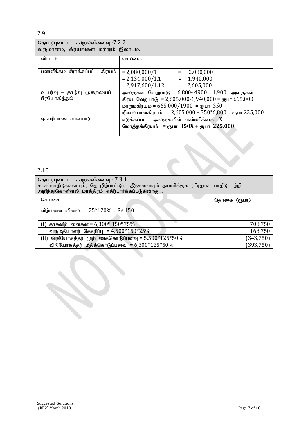2.9

| தொடர்புடைய கற்றல்விளைவு :7.2.2      |  |  |  |
|-------------------------------------|--|--|--|
| வருமானம், கிரயங்கள் மற்றும் இலாபம். |  |  |  |

| $\omega$ or $\omega$ or $\omega$ , and a second the product of $\omega$ or $\omega$ . |                                                               |  |  |  |
|---------------------------------------------------------------------------------------|---------------------------------------------------------------|--|--|--|
| விடயம்                                                                                | செய்கை                                                        |  |  |  |
|                                                                                       |                                                               |  |  |  |
| பணவீக்கம் சீராக்கப்பட்ட<br>கிரயம்                                                     | $= 2,080,000/1$<br>2,080,000<br>$=$                           |  |  |  |
|                                                                                       | $= 1,940,000$<br>$= 2,134,000/1.1$                            |  |  |  |
|                                                                                       | $= 2,917,600/1.12 = 2,605,000$                                |  |  |  |
| உயர்வு — தாழ்வு முறையைப்                                                              | அலகுகள் வேறுபாடு = 6,800- 4900 = 1,900 அலகுகள்                |  |  |  |
| பிரயோகித்தல்                                                                          | கிரய வேறுபாடு = 2,605,000-1,940,000 = ரூபா 665,000            |  |  |  |
|                                                                                       | மாறும்கிரயம் = 665,000/1900 = ரூபா 350                        |  |  |  |
|                                                                                       | நிலையானகிரயம் = 2,605,000 – 350*6,800 = ரூபா 225,000          |  |  |  |
| ஏகபரிமாண சமன்பாடு                                                                     | எடுக்கப்பட்ட அலகுகளின் எண்ணிக்கை = $X$                        |  |  |  |
|                                                                                       | <u>Coorத்தக்கிரயம் = ரூபா <math>350X +</math>ரூபா 225,000</u> |  |  |  |
|                                                                                       |                                                               |  |  |  |
|                                                                                       |                                                               |  |  |  |

# 2.10

| தொடர்புடைய கற்றல்விளைவு : 7.3.1<br>காசுப்பாதீடுகளையும், தொழிற்பாட்டுப்பாதீடுகளையும் தயாரிக்குக (பிரதான பாதீடு பற்றி<br>அறிந்துகொள்ளல் மாத்திரம் எதிர்பார்க்கப்படுகின்றது). |             |
|----------------------------------------------------------------------------------------------------------------------------------------------------------------------------|-------------|
| செய்கை                                                                                                                                                                     | தொகை (ரூபா) |
| விற்பனை விலை = $125*120%$ = Rs.150                                                                                                                                         |             |
| (i) காசுவிற்பனைகள் = $6,300*150*75%$                                                                                                                                       | 708,750     |
| வருமதியாளர் சேகரிப்பு = $4,500*150*25%$                                                                                                                                    | 168,750     |
| (ii) விநியோகத்தர் முற்பணக்கொடுப்பனவு = 5,500* $125*50\%$                                                                                                                   | (343, 750)  |
| விநியோகத்தர் மீதிக்கொடுப்பனவு = $6,300*125*50\%$                                                                                                                           | (393, 750)  |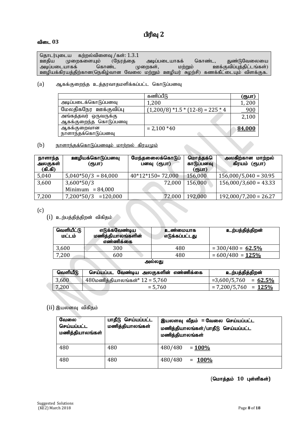# பிரிவு 2

# விடை 03

தொடர்புடைய கற்றல்விளைவு /கள்: 1.3.1<br>ஊதிய முறைகளையும் (நேரத்தை ுள்திய முறைகளையும் (நேரத்தை அடிப்படையாகக் கொண்ட, துண்டுவேலையை<br>அடிப்படையாகக் கொண்ட முறைகள், மற்றும் ஊக்குவிப்புத்திட்டங்கள்) அடிப்படையாகக் கொண்ட முறைகள், மற்றும் ஊக்குவிப்புத்திட்டங்கள்) ஊழியக்கிரயத்திற்கான(நெகிழ்வான வேலை மற்றும் ஊழியர் சுழற்சி) கணக்கீட்டையும் விளக்குக.

(a) ஆகக்குறைந்த உத்தரவாதமளிக்கப்பட்ட கொடுப்பனவு

|                                                | கணிப்பீடு                               | (ரூபா) |
|------------------------------------------------|-----------------------------------------|--------|
| அடிப்படைக்கொடுப்பனவு                           | 1,200                                   | 1,200  |
| மேலதிகநேர ஊக்குவிப்பு                          | $(1,200/8)$ *1.5 * $(12-8)$ = 225 $*$ 4 | 900    |
| அங்கத்தவர் ஒருவருக்கு                          |                                         | 2,100  |
| ஆகக்குறைந்த கொடுப்பனவு                         |                                         |        |
| ஆகக்குறைவான                                    | $= 2,100*40$                            | 84,000 |
| <b>  நாளாந்தக்கொடுப்பனவு</b>                   |                                         |        |
|                                                |                                         |        |
| <u> நாளாந்தக்கொடுப்பனவும் மாற்றல் கிரயமும்</u> |                                         |        |

 $(b)$  நாளாந்தக்கொடுப்பனவம் மாற்றல் கிரயமும்

| நாளாந்த<br>அலகுகள்<br>(கி.கி) | ஊழியக்கொடுப்பனவு<br>(ரூபா) | மேந்தனைலக்கொடுப்<br>பனவு (ரூபா) | மொத்தக்<br>காடுப்பனவு<br><u>(ரூபா)</u> | ்அலகிற்கான மாற்றல்<br>கிரயம் (ரூபா) |
|-------------------------------|----------------------------|---------------------------------|----------------------------------------|-------------------------------------|
| 5,040                         | $5,040*50/3 = 84,000$      | $40*12*150=72,000$              | 156,000                                | $156,000/5,040 = 30.95$             |
| 3,600                         | $3,600*50/3$               | 72,000                          | 156,000                                | $156,000/3,600 = 43.33$             |
|                               | Minimum $= 84,000$         |                                 |                                        |                                     |
| 7,200                         | $7,200*50/3$ = 120,000     | 72,000                          | 192,000                                | $192,000/7,200 = 26.27$             |

(c)

 $(i)$  உற்பத்தித்திறன் விகிதம்

| வெளியீட்டு<br>மட்டம்                      | எடுக்கவேண்டிய<br>மணித்தியாலங்களின்<br>எண்ணிக்கை | உண்மையாக<br>எடுக்கப்பட்டது | உற்பத்தித்திறன்      |  |
|-------------------------------------------|-------------------------------------------------|----------------------------|----------------------|--|
| 3,600                                     | 300                                             | 480                        | $= 300/480 = 62.5\%$ |  |
| 7,200                                     | 600                                             | 480                        | $= 600/480 = 125\%$  |  |
| $\sim$ $\sim$ $\sim$ $\sim$ $\sim$ $\sim$ |                                                 |                            |                      |  |

| அலலகு |  |
|-------|--|
|-------|--|

| வெளியீடு | செய்யப்பட வேண்டிய அலகுகளின் எண்ணிக்கை            | உற்பத்தித்திறன்         |
|----------|--------------------------------------------------|-------------------------|
| 3,600    | $\sim 480$ மணித்தியாலங்கள் $^*$ $12$ = $5{,}760$ | $=3,600/5,760 = 62.5\%$ |
| 7,200    | $= 5.760$                                        | $= 7,200/5,760 = 125\%$ |

# $(ii)$  இயலளவு விகிதம்

| வேலை<br>செய்யப்பட்ட<br>மணித்தியாலங்கள் | பாதீடு செய்யப்பட்ட<br>மணித்தியாலங்கள் | இயலளவு வீதம் = வேலை செய்யப்பட்ட<br>மணித்தியாலங்கள்/பாதீடு செய்யப்பட்ட<br>மணித்தியாலங்கள் |
|----------------------------------------|---------------------------------------|------------------------------------------------------------------------------------------|
| 480                                    | 480                                   | 480/480<br>$= 100\%$                                                                     |
| 480                                    | 480                                   | 480/480<br>$= 100\%$                                                                     |

(மொத்தம் 10 புள்ளிகள்)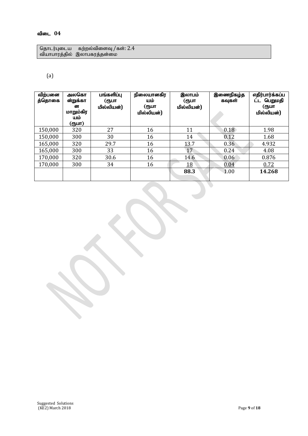தொடர்புடைய கற்றல்விளைவு /கள்:  $2.4\,$ வியாபாரத்தில் இலாபகரத்தன்மை

# (a)

| விற்பனை<br>த்தொகை | அலகொ<br>ன்றுக்கா<br>ன<br>மாறும்கிர<br>யம்<br>(ரூபா) | பங்களிப்பு<br>(ரூபா<br>மில்லியன்) | நிலையானகிர<br>யம்<br>(ரூபா<br>மில்லியன்) | இலாபம்<br>(ரூபா<br>மில்லியன்) | இணைநிகழ்த<br>கவுகள் | எதிர்பார்க்கப்ப<br>பெறுமதி<br>(ரூபா<br>மில்லியன்) |
|-------------------|-----------------------------------------------------|-----------------------------------|------------------------------------------|-------------------------------|---------------------|---------------------------------------------------|
| 150,000           | 320                                                 | 27                                | 16                                       | 11                            | 0.18                | 1.98                                              |
| 150,000           | 300                                                 | 30                                | 16                                       | 14                            | 0.12                | 1.68                                              |
| 165,000           | 320                                                 | 29.7                              | 16                                       | 13.7                          | 0.36                | 4.932                                             |
| 165,000           | 300                                                 | 33                                | 16                                       | 17                            | 0.24                | 4.08                                              |
| 170,000           | 320                                                 | 30.6                              | 16                                       | 14.6                          | 0.06                | 0.876                                             |
| 170,000           | 300                                                 | 34                                | 16                                       | <u> 18</u>                    | 0.04                | 0.72                                              |
|                   |                                                     |                                   |                                          | 88.3                          | 1.00                | 14.268                                            |

 $\blacklozenge$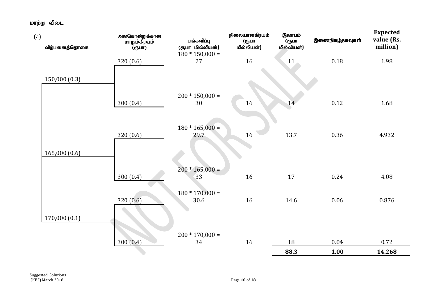மாற்று விடை

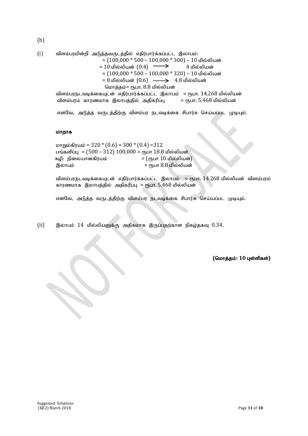(b)

(i) tpsk;gukpd;wp mLj;jtUlj;jpy; vjpu;ghu;f;fg;gl;l ,yhgk;: = (100,000 \* 500 – 100,000 \* 300) – 10 kpy;ypad; = 10 kpy ;ypad; (0.4) 4 kpy;ypad; = (100,000 \* 500 – 100,000 \* 320) – 10 kpy;ypad; = 8 kpy;ypad; (0.6) 4.8 kpy ;ypad; nkhj;jk;= &gh. 8.8 kpy;ypad; tpsk;gueltbf;ifAld; vjpu;ghu;f;fg;gl;l ,yhgk; = &gh. 14.268 kpy;ypad;

விளம்பரம் காரணமாக இலாபத்தில் அதிகரிப்பு = ரூபா.  $5.468$  மில்லியன்

எனவே, அடுத்த வருடத்திற்கு விளம்பர நடவடிக்கை சிபார்சு செய்யப்பட முடியும்.

#### மாறாக

 $k$ pm $m$ ம்கிரயம் = 320  $*(0.6) + 300 * (0.4) = 312$ பங்களிப்பு =  $(500 - 312) 100,000 =$  ரூபா 18.8 மில்லியன் கழி: நிலையானகிரயம் $\epsilon = (\epsilon_0 + \epsilon_1 + \epsilon_2)$ ,yhgk; = &gh 8.8 kpy;ypad;

விளம்பரநடவடிக்கையுடன் எதிர்பார்க்கப்பட்ட இலாபம் = ரூபா.  $14.268$  மில்லியன் விளம்பரம் காரணமாக இலாபத்தில் அதிகரிப்பு = ரூபா.  $5.468$  மில்லியன்

எனவே, அடுத்த வருடத்திற்கு விளம்பர நடவடிக்கை சிபார்சு செய்யப்பட முடியும்.

 $(i)$  இலாபம் 14 மில்லியனுக்கு அதிகமாக இருப்பதற்கான நிகழ்தகவு  $0.34$ .

 $($ மொத்தம்: 10 புள்ளிகள்)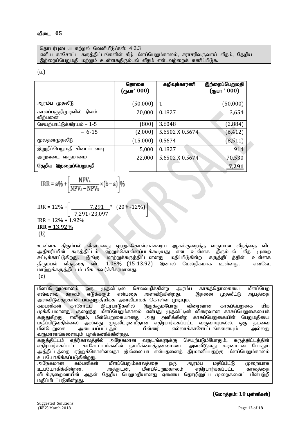தொடர்புடைய கற்றல் வெளியீடு/கள்:  $4.2.3$ எளிய காசோட்ட கருத்திட்டங்களின் கீம் மீளப்பெறும்காலம், சராசரிவருவாய் வீதம், கேறிய இற்றைப்பெறுமதி மற்றும் உள்ளகதிரும்பல் வீதம் என்பவற்றைக் கணிப்பிடுக.

#### (a.)

|                                     | தொகை<br>(ரூபா' 000) | கழிவுக்காரணி    | இற்றைப்பெறுமதி<br>$($ ரூபா $\cdot$ 000) |
|-------------------------------------|---------------------|-----------------|-----------------------------------------|
| ஆரம்ப முதலீடு                       | (50,000)            | 1               | (50,000)                                |
| காலப்பகுதிமுடிவில் நிலம்<br>விற்பனை | 20,000              | 0.1827          | 3,654                                   |
| செயற்பாட்டுக்கிரயம் – 1-5           | (800)               | 3.6048          | (2,884)                                 |
| $-6-15$                             | (2,000)             | 5.6502 X 0.5674 | (6, 412)                                |
| மூலதனமுதலீடு                        | (15,000)            | 0.5674          | (8, 511)                                |
| இறுதிப்பெறுமதி கிடைப்பனவு           | 5,000               | 0.1827          | 914                                     |
| அறுவடை வருமானம்                     | 22,000              | 5.6502 X 0.5674 | 70,530                                  |
| இற்றைப்பெறுமதி<br>தேறிய             |                     |                 | <u>7,291</u>                            |

$$
\text{IRR} = a\% + \left[\frac{\text{NPV}_{\text{A}}}{\text{NPV}_{\text{A}} - \text{NPV}_{\text{B}}} \times (b - a)\right]\%
$$

$$
IRR = 12\% + \left[ \frac{7,291}{7,291+23,097} * (20\% - 12\%) \right]
$$
  
IRR = 12% + 1.92%  
IRR = 13.92%  
(b)

உள்ளக திரும்பல் வீதமானது ஏற்றுக்கொள்ளக்கூடிய ஆகக்குறைந்த வருமான வீதத்தை விட<br>அதிகரிப்பின் கருத்திட்டம் ஏற்றுக்கொள்ளப்படக்கூடியது என உள்ளக கிரும்பல் வீக முறை அதிகரிப்பின் கருத்திட்டம் ஏற்றுக்கொள்ளப்படக்கூடியது என உள்ளக திரும்பல் வீத முறை<br>சுட்டிக்காட்டுகிறது. இங்கு மாற்றுக்கருத்திட்டமானது மதிப்பிடுகின்ற கருத்திட்டத்தின் உள்ளக இங்கு மாற்றுக்கருத்திட்டமானது மதிப்பிடுகின்ற கருத்திட்டத்தின் உள்ளக<br>`விட 1.08% (15-13.92) இனால் மேலகிகமாக உள்ளது. எனவே. திரும்பல் வீதத்தை விட  $1.08\%$  (15-13.92) இனால் மேலதிகமாக உள்ளது.  $k$ நிறுக்கருத்திட்டம் மிக கவர்ச்சிகரமானது. (c)

மீளப்பெறும்காலம் ஒரு முதலீட்டில் செலவழிக்கின்ற ஆரம்ப காசுத்தொகையை மீளப்பெற<br>எவ்வளவு காலம் எடுக்ககும் என்பதை அளவிடுகின்றது. இதனை முதலீட்டு ஆபத்தை எவ்வளவு காலம் எடுக்ககும் <u>அளவிடுவதற்கான பயனுறுதிமிக்க அளவீடாகக் கொள்ள முடியும்.</u><br>கம்பனிகள் காசோட்ட இடர்பாடுகளில் இருக்கும்போது விரைவான .<br>`இடர்பாடுகளில் இருக்கும்போது விரைவான காசுப்பெறுகை மிக முக்கியமானது. குறைந்த மீளப்பெறும்காலம் என்பது முதலீட்டின் விரைவான காசுப்பெறுகையைக் .<br>கருதுகிறது. எனினும், மீள்பெறுகையானது அது அளிக்கின்ற காசுப்பெறுகையின் பெறுமதியை<br>மதிப்பிடுவதில்லை அல்லது முதலீட்டின்மீதான எதிர்பார்க்கப்பட்ட வருவாயுமல்ல. ஒரு தடவை மதிப்பிடுவதில்லை அல்லது முதலீட்டின்மீதான எதிர்பார்க்கப்பட்ட வருவாயுமல்ல. ஒரு தடவை<br>மீள்பெறுகை அடையப்பட்டதும் பின்னர் எல்லாக்காசோட்டங்களையும் அல்லது எல்லாக்காசோட்டங்களையும் வருமானங்களையம் பாக்கணிக்கின்றது. கருத்திட்டம் எதிர்காலத்தில் அநேகமான வருடங்களுக்கு செயற்படும்போதும், கருத்திட்டத்தின் எதிர்பார்க்கப்பட்ட காசோட்டங்களின் நம்பிக்கைத்தன்மையை அளவிடுவது கடினமான போதும் அக்கிட்டக்கை எற்றுக்கொள்ளவகா இல்லையா என்பகனைக் கீர்மானிப்பகற்கு மீளப்பெறும்காலம் உபயோகிக்கப்படுகின்றது. அநேகமான கம்பனிகள் மீளப்பெறும்காலத்தை ஒரு ஆரம்ப மதிப்பீட்டு முறையாக<br>உபயோகிக்கின்றன. அக்குடன், மீளப்பெறும்காலம் எகிர்பார்க்கப்பட்ட காலக்கை cgNahfpf;fpd;wd. mj;Jld;> kPsg;ngWk;fhyk; vjpu;ghu;f;fg;gl;l fhyj;ij விடக்குறைவாயின் அதன் தேறிய பெறுமதியானது ஏனைய தொழினுட்ப முறைகளைப் பின்பற்றி மதிப்பிடப்படுகின்றது.

# $($ மொத்தம்: 10 புள்ளிகள்)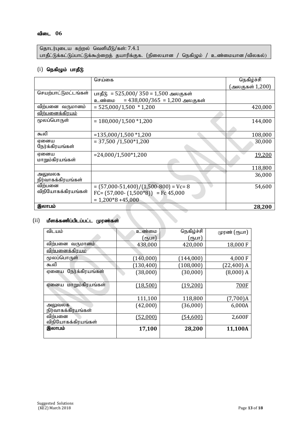தொடர்புடைய கற்றல் வெளியீடு/கள்:  $7.4.1$ பாதீட்டுக்கட்டுப்பாட்டுக்கூற்றைத் தயாரிக்குக. (நிலையான / நெகிழும் / உண்மையான /விலகல்)

# $(i)$  நெகிழும் பாதீடு

|                        | செய்கை                                   | நெகிழ்ச்சி      |
|------------------------|------------------------------------------|-----------------|
|                        |                                          | (அலகுகள் 1,200) |
| செயற்பாட்டுமட்டங்கள்   | பாதீடு = 525,000/350 = 1,500 அலகுகள்     |                 |
|                        | = $438,000/365 = 1,200$ அலகுகள்<br>உண்மை |                 |
| விற்பனை வருமானம்       | $= 525,000/1,500 * 1,200$                | 420,000         |
| <u>விற்பனைக்கிரயம்</u> |                                          |                 |
| மூலப்பொருள்            | $= 180,000/1,500 * 1,200$                | 144,000         |
|                        |                                          |                 |
| கூலி                   | $= 135,000/1,500 * 1,200$                | 108,000         |
| ஏனைய                   | $= 37,500 / 1,500 \times 1,200$          | 30,000          |
| நேர்க்கிரயங்கள்        |                                          |                 |
| ஏனைய                   | $= 24,000/1,500*1,200$                   | 19,200          |
| மாறும்கிரயங்கள்        |                                          |                 |
|                        |                                          | 118,800         |
| அலுவலக                 |                                          | 36,000          |
| நிர்வாகக்கிரயங்கள்     |                                          |                 |
| விற்பனை                | $=(57,000-51,400)/(1,500-800) = Vc=8$    | 54,600          |
| விநியோகக்கிரயங்கள்     | FC= $(57,000 - (1,500)^*8)$ = Fc 45,000  |                 |
|                        | $= 1,200*8 + 45,000$                     |                 |
| இலாபம்                 |                                          | 28,200          |

# $(ii)$  மீளக்கணிப்பிடப்பட்ட முரண்கள்

| விடயம்                  | உண்மை      | நெகிழ்ச்சி | முரண் (ரூபா) |
|-------------------------|------------|------------|--------------|
|                         | (ரூபா)     | (ரூபா]     |              |
| விற்பனை வருமானம்        | 438,000    | 420,000    | 18,000 F     |
| <u>விற்பனைக்கிரயம</u>   |            |            |              |
| மூலப்பொருள்             | (140, 000) | (144,000)  | 4,000 F      |
| கூலி                    | (130, 400) | (108, 000) | $(22,400)$ A |
| நேர்க்கிரயங்கள்<br>ஏனைய | (38,000)   | (30,000)   | $(8,000)$ A  |
|                         |            |            |              |
| மாறும்கிரயங்கள்<br>ஏனைய | (18,500)   | (19,200)   | 700F         |
|                         |            |            |              |
|                         | 111,100    | 118,800    | $(7,700)$ A  |
| அலுவலக                  | (42,000)   | (36,000)   | 6,000A       |
| நிர்வாகக்கிரயங்கள்      |            |            |              |
| விற்பனை                 | (52,000)   | (54,600)   | 2,600F       |
| விநியோகக்கிரயங்கள்      |            |            |              |
| இலாபம்                  | 17,100     | 28,200     | 11,100A      |
|                         |            |            |              |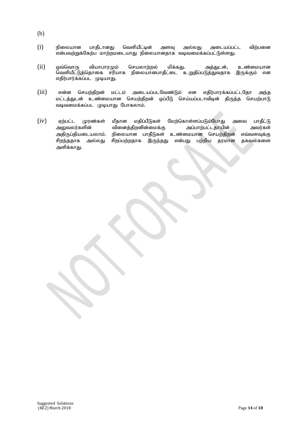- (b)
- $(i)$  நிலையான பாதீடானது வெளியீட்டின் அளவு அல்லது அடையப்பட்ட விற்பனை என்பவற்றுக்கேற்ப மாற்றமடையாது நிலையானதாக வடிவமைக்கப்பட்டுள்ளது.
- (ii) ஒவ்வொரு வியாபாரமும் செயலாற்றல் மிக்கது. அத்துடன், உண்மையான வெளியீட்டுத்தொகை சரியாக நிலையானபாதீட்டை உறுதிப்படுத்துவதாக இருக்கும் என எதிர்பார்க்கப்பட முடியாது.
- $(iii)$  என்ன செயற்திறன் மட்டம் அடையப்படவேண்டும் என எதிர்பாரக்கப்பட்டதோ அந்த மட்டத்துடன் உண்மையான செயற்திறன் ஒப்பீடு செய்யப்படாவிடின் திருத்த செயற்பாடு வடிவமைக்கப்பட முடியாது போகலாம்.
- (iv) ஏற்பட்ட முரண்கள் மீதான மதிப்பீடுகள் மேற்கொள்ளப்படும்போது அவை பாதீட்டு<br>அலுவலர்களின் வினைத்திறனின்மைக்கு அப்பாற்பட்டதாயின் அவர்கள் வினைத்திறனின்மைக்கு அதிருப்தியடையலாம். நிலையான பாதீடுகள் உண்மையான செயற்திறன் எவ்வளவுக்கு சிறந்ததாக அல்லது சிறப்பற்றதாக இருந்தது என்பது பற்றிய தரமான தகவல்களை அளிக்காது.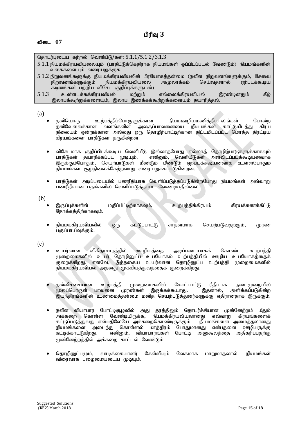| தொடர்புடைய கற்றல் வெளியீடு/கள்: 5.1.1/5.1.2/3.1.3                                         |
|-------------------------------------------------------------------------------------------|
| 5.1.1 நியமக்கிரயவியலையும் (பாதீட்டுக்கெதிராக நியமங்கள் ஒப்பிடப்படல் வேண்டும்) நியமங்களின் |
| வகைகளையும் வரையறுக்குக.                                                                   |
| 5.1.2 நிறுவனங்களுக்கு நியமக்கிரயவியலின் பிரயோகத்தன்மை (நவீன நிறுவனங்களுக்கும், சேவை       |
| நிறுவனங்களுக்கும் நியமக்கிரயவியலை அமுலாக்கம் செய்வதனால் ஏற்படக்கூடிய                      |
| கடினங்கள் பற்றிய விசேட குறிப்புக்களுடன்)                                                  |
| உள்ளடக்கக்கிரயவியல் மற்றும்<br>5.1.3<br>கீழ்<br>எல்லைக்கிரயவியல்<br>இரண்டினதும்           |
| இலாபக்கூற்றுக்களையும், இலாப இணக்கக்கூற்றுக்களையும் தயாரித்தல்.                            |
|                                                                                           |

(a)

- தனியொரு உற்பத்திப்பொருளுக்கான நியமஊழியமணித்தியாலங்கள் போன்ற<br>கனிவேலைக்கான வளங்களின் அலகுப்பாவனையை நியமங்கள் காட்டுமிடக்கட கிாய அலகுப்பாவனையை நியமங்கள் காட்டுமிடக்கு நிலையம் ஒன்றுக்கான அல்லது ஒரு தொழிற்பாட்டிற்கான திட்டமிடப்பட்ட மொத்த திரட்டிய கிரயங்களை பாதீடுகள் தருகின்றன.
- விசேடமாக குறிப்பிடக்கூடிய வெளியீடு இல்லாதபோது எல்லாத் தொழிற்பாடுகளுக்காகவும்<br>பாதீடுகள் தயாரிக்கப்பட முடியும். எனினும், வெளியீடுகள் அளவிடப்படக்கூடியனவாக  $\widetilde{\mathsf{m}}$ னினும், வெளியீடுகள் அளவிடப்படக்கூடியனவாக இருக்கும்போதும், செயற்பாடுகள் மீண்டும் மீண்டும் ஏற்படக்கூடியனவாக உள்ளபோதும்  $\mathbf f$ நியமங்கள் சூழ்நிலைக்கேற்றவாறு வரையறுக்கப்படுகின்றன.
- பாதீடுகள் அடிப்படையில் பணரீதியாக வெளிப்படுத்தப்படுகின்றபோது நியமங்கள் அவ்வாறு பண்ரீதியான பதங்களில் வெளிப்படுத்தப்பட வேண்டியதில்லை.

(b)

- இருப்புக்களின் மதிப்பீட்டிற்காகவும், உற்பத்திக்கிரயம் கிரயக்கணக்கீட்டு ரோக்கக்கிற்காகவும்.
- நியமக்கிரயவியலில் ஒரு கட்டுப்பாட்டு சாதனமாக செயற்படுவதற்கும், முரண் பகுப்பாய்வுக்கும்.

(c)

- உயர்வான விகிதாசாரத்தில் ஊழியத்தை அடிப்படையாகக் கொண்ட உற்பத்தி முறைமைகளில் உயர் தொழினுட்ப உபயோகம் உற்பத்தியில் ஊழிய உபயோகத்தைக் குறைக்கிறது. எனவே, இத்தகைய உயர்வான தொழினுட்ப உற்பத்தி முறைமைகளில் நியமக்கிரயவியல் அதனது முக்கியத்துவத்தைக் குறைக்கிறது.
- தன்னிச்சையான உற்பத்தி முறைமைகளில் கோட்பாட்டு ரீதியாக நடைமுறையில்<br>மூலப்பொருள் பாவனை முரண்கள் இருக்கக்கூடாது. இதனால், அளிக்கப்படுகின்ற மூலப்பொருள் பாவனை முரண்கள் இருக்கக்கூடாது. இதனால், இயந்திரங்களின் உண்மைத்தன்மை மனித செயற்படுத்துனர்களுக்கு எதிரானதாக இருக்கும்.
- நவீன வியாபார போட்டிசூழலில் அது தரத்திலும் தொடர்ச்சியான முன்னேற்றம் மீதும் அக்கறை கொள்ள வேண்டியிருக்க, நியமக்கிரயவியலானது எவ்வாறு கிரயங்களைக் கட்டுப்படுத்துவது என்பதிலேயே அக்கறைகொண்டிருக்கும். நியமங்களை அமைத்தலானது<br>நியமங்களை அடைந்து கொள்ளல் மாக்கிரம் போதுமானது என்பதனை ஊமியருக்கு நியமங்களை அடைந்து கொள்ளல் மாத்திரம் போதுமானது என்பதனை ஊழியருக்கு<br>சுட்டிக்காட்டுகிறது. எனிமை, வியாபாாங்கள் போட்டி அனுகூலக்கை அகிகரிப்பகற்கு போட்ட அரைகலக்கை $\,$ முன்னேற்றத்தில் அக்கறை காட்டல் வேண்டும்.
- தொழினுட்பமும், வாடிக்கையாளர் கேள்வியும் வேகமாக மாறுமாகலால். நியமங்கள் விரைவாக பமைமையடைய முடியும்.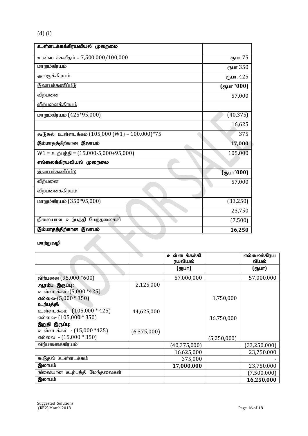# (d) (i)

| உள்ளடக்கக்கிரயவியல் முறைமை                     |                               |
|------------------------------------------------|-------------------------------|
| உள்ளடக்கவீதம் = 7,500,000/100,000              | <b>CIT<sub>5</sub></b> UIT 75 |
| மாறும்கிரயம்                                   | ரூபா 350                      |
| அலகுக்கிரயம்                                   | ரூபா. 425                     |
| இலாபக்கணிப்பீடு                                | (ரூபா '000)                   |
| விற்பனை                                        | 57,000                        |
| <u>விற்பனைக்கிரயம்</u>                         |                               |
| மாறும்கிரயம் (425*95,000)                      | (40, 375)                     |
|                                                | 16,625                        |
| கூடுதல் உள்ளடக்கம் (105,000 (W1) – 100,000)*75 | 375                           |
| இம்மாதத்திற்கான இலாபம்                         | 17,000                        |
| $W1 = \rho_0$ ற்பத்தி = (15,000-5,000+95,000)  | 105,000                       |
| எல்லைக்கிரயவியல் முறைமை                        |                               |
| <u>இலாபக்கணிப்பீடு</u>                         | (ரூபா'000)                    |
| விற்பனை                                        | 57,000                        |
| <u>விற்பனைக்கிரயம்</u>                         |                               |
| மாறும்கிரயம் (350*95,000)                      | (33,250)                      |
|                                                | 23,750                        |
| நிலையான உற்பத்தி மேந்தலைகள்                    | (7,500)                       |
| இம்மாதத்திற்கான இலாபம்                         | 16,250                        |

# மாற்றுவழி

|                                |             | உள்ளடக்கக்கி<br>ரயவியல் |             | எல்லைக்கிரய<br>வியல் |
|--------------------------------|-------------|-------------------------|-------------|----------------------|
|                                |             | (ரூபா)                  |             | (ரூபா)               |
| விற்பனை (95,000 *600)          |             | 57,000,000              |             | 57,000,000           |
| ஆரம்ப இருப்பு :                | 2,125,000   |                         |             |                      |
| உள்ளடக்கம்-(5,000 *425)        |             |                         |             |                      |
| எல்லை- $(5,000 * 350)$         |             |                         | 1,750,000   |                      |
| உற்பத்தி:                      |             |                         |             |                      |
| உள்ளடக்கம் (105,000 * 425)     | 44,625,000  |                         |             |                      |
| எல்லை- (105,000 * 350)         |             |                         | 36,750,000  |                      |
| இறுதி இருப்பு:                 |             |                         |             |                      |
| உள்ளடக்கம் - (15,000 *425)     | (6,375,000) |                         |             |                      |
| எல்லை - (15,000 * 350)         |             |                         | (5,250,000) |                      |
| விற்பனைக்கிரயம்                |             | (40, 375, 000)          |             | (33, 250, 000)       |
|                                |             | 16,625,000              |             | 23,750,000           |
| கூடுதல் உள்ளடக்கம்             |             | 375,000                 |             |                      |
| இலாபம்                         |             | 17,000,000              |             | 23,750,000           |
| மேந்தலைகள்<br>நிலையான உற்பத்தி |             |                         |             | (7,500,000)          |
| இலாபம்                         |             |                         |             | 16,250,000           |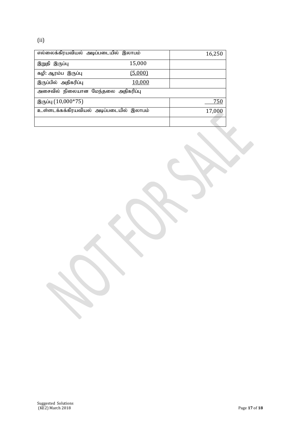| எல்லைக்கிரயவியல் அடிப்படையில் இலாபம்    |         | 16,250 |
|-----------------------------------------|---------|--------|
| இறுதி இருப்பு                           | 15,000  |        |
| கழி: ஆரம்ப இருப்பு                      | (5,000) |        |
| இருப்பில் அதிகரிப்பு                    | 10,000  |        |
| அசைவில் நிலையான மேந்தலை அதிகரிப்பு      |         |        |
| இருப்பு (10,000*75)                     |         | 750    |
| உள்ளடக்கக்கிரயவியல் அடிப்படையில் இலாபம் |         | 17,000 |
|                                         |         |        |